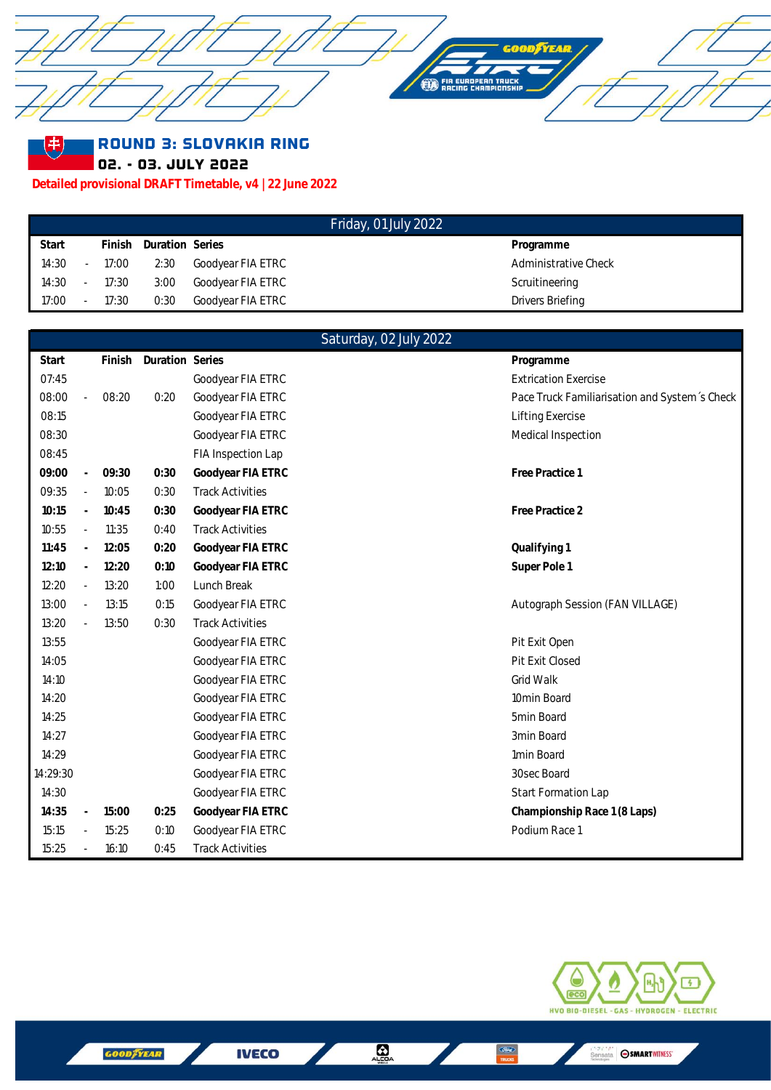

Round 3: Slovakia Ring

02. - 03. July 2022

圭

**Detailed provisional DRAFT Timetable, v4 | 22 June 2022**

|       |        |          |                 | Friday, 01 July 2022 |                      |
|-------|--------|----------|-----------------|----------------------|----------------------|
| Start |        | Finish   | Duration Series |                      | Programme            |
| 14:30 |        | - 17:00  | 2:30            | Goodyear FIA ETRC    | Administrative Check |
| 14:30 |        | $-17:30$ | 3:00            | Goodyear FIA ETRC    | Scruitineering       |
| 17:00 | $\sim$ | 17:30    | 0:30            | Goodyear FIA ETRC    | Drivers Briefing     |

|          |                             |       |                        |                         | Saturday, 02 July 2022 |                                               |
|----------|-----------------------------|-------|------------------------|-------------------------|------------------------|-----------------------------------------------|
| Start    |                             |       | Finish Duration Series |                         |                        | Programme                                     |
| 07:45    |                             |       |                        | Goodyear FIA ETRC       |                        | <b>Extrication Exercise</b>                   |
| 08:00    | $\overline{\phantom{a}}$    | 08:20 | 0:20                   | Goodyear FIA ETRC       |                        | Pace Truck Familiarisation and System's Check |
| 08:15    |                             |       |                        | Goodyear FIA ETRC       |                        | Lifting Exercise                              |
| 08:30    |                             |       |                        | Goodyear FIA ETRC       |                        | Medical Inspection                            |
| 08:45    |                             |       |                        | FIA Inspection Lap      |                        |                                               |
| 09:00    | $\omega$                    | 09:30 | 0:30                   | Goodyear FIA ETRC       |                        | Free Practice 1                               |
| 09:35    | $\bar{a}$                   | 10:05 | 0:30                   | <b>Track Activities</b> |                        |                                               |
| 10:15    | $\overline{\phantom{a}}$    | 10:45 | 0:30                   | Goodyear FIA ETRC       |                        | Free Practice 2                               |
| 10:55    | $\overline{\phantom{a}}$    | 11:35 | 0:40                   | <b>Track Activities</b> |                        |                                               |
| 11:45    | $\omega$                    | 12:05 | 0:20                   | Goodyear FIA ETRC       |                        | Qualifying 1                                  |
| 12:10    | $\mathcal{L}_{\mathcal{A}}$ | 12:20 | 0:10                   | Goodyear FIA ETRC       |                        | Super Pole 1                                  |
| 12:20    | $\overline{\phantom{a}}$    | 13:20 | 1:00                   | Lunch Break             |                        |                                               |
| 13:00    | $\bar{a}$                   | 13:15 | 0:15                   | Goodyear FIA ETRC       |                        | Autograph Session (FAN VILLAGE)               |
| 13:20    | $\omega$                    | 13:50 | 0:30                   | <b>Track Activities</b> |                        |                                               |
| 13:55    |                             |       |                        | Goodyear FIA ETRC       |                        | Pit Exit Open                                 |
| 14:05    |                             |       |                        | Goodyear FIA ETRC       |                        | Pit Exit Closed                               |
| 14:10    |                             |       |                        | Goodyear FIA ETRC       |                        | Grid Walk                                     |
| 14:20    |                             |       |                        | Goodyear FIA ETRC       |                        | 10min Board                                   |
| 14:25    |                             |       |                        | Goodyear FIA ETRC       |                        | 5min Board                                    |
| 14:27    |                             |       |                        | Goodyear FIA ETRC       |                        | 3min Board                                    |
| 14:29    |                             |       |                        | Goodyear FIA ETRC       |                        | 1min Board                                    |
| 14:29:30 |                             |       |                        | Goodyear FIA ETRC       |                        | 30sec Board                                   |
| 14:30    |                             |       |                        | Goodyear FIA ETRC       |                        | Start Formation Lap                           |
| 14:35    | $\overline{\phantom{a}}$    | 15:00 | 0:25                   | Goodyear FIA ETRC       |                        | Championship Race 1 (8 Laps)                  |
| 15:15    | $\sim$                      | 15:25 | 0:10                   | Goodyear FIA ETRC       |                        | Podium Race 1                                 |
| 15:25    | $\overline{\phantom{a}}$    | 16:10 | 0:45                   | <b>Track Activities</b> |                        |                                               |



**IVECO** 

 $\frac{C}{TRC}$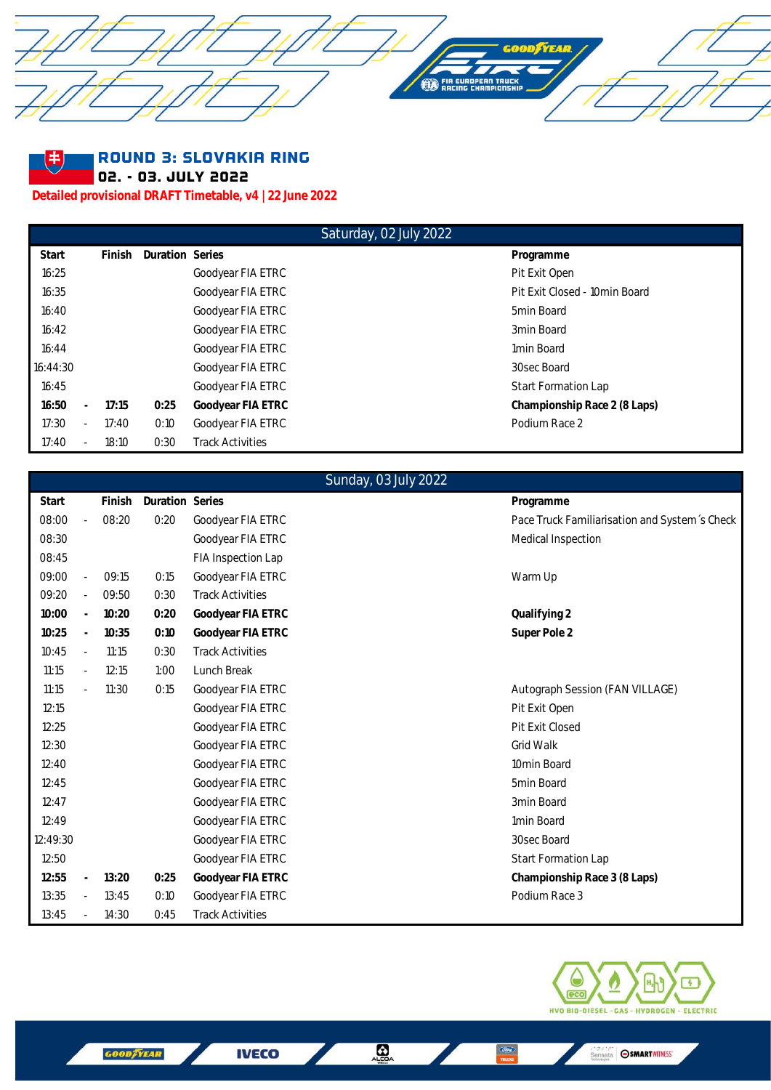



## Round 3: Slovakia Ring

02. - 03. July 2022

**Detailed provisional DRAFT Timetable, v4 | 22 June 2022**

## Saturday, 02 July 2022

| Start    |                          | Finish | Duration Series |                         | Programme                     |
|----------|--------------------------|--------|-----------------|-------------------------|-------------------------------|
| 16:25    |                          |        |                 | Goodyear FIA ETRC       | Pit Exit Open                 |
| 16:35    |                          |        |                 | Goodyear FIA ETRC       | Pit Exit Closed - 10min Board |
| 16:40    |                          |        |                 | Goodyear FIA ETRC       | 5min Board                    |
| 16:42    |                          |        |                 | Goodyear FIA ETRC       | 3min Board                    |
| 16:44    |                          |        |                 | Goodyear FIA ETRC       | 1min Board                    |
| 16:44:30 |                          |        |                 | Goodyear FIA ETRC       | 30sec Board                   |
| 16:45    |                          |        |                 | Goodyear FIA ETRC       | <b>Start Formation Lap</b>    |
| 16:50    | $\overline{a}$           | 17:15  | 0:25            | Goodyear FIA ETRC       | Championship Race 2 (8 Laps)  |
| 17:30    | $\overline{\phantom{0}}$ | 17:40  | 0:10            | Goodyear FIA ETRC       | Podium Race 2                 |
| 17:40    | $\overline{\phantom{0}}$ | 18:10  | 0:30            | <b>Track Activities</b> |                               |

|          |                          |        |                 | Sunday, 03 July 2022    |                                               |
|----------|--------------------------|--------|-----------------|-------------------------|-----------------------------------------------|
| Start    |                          | Finish | Duration Series |                         | Programme                                     |
| 08:00    | J.                       | 08:20  | 0:20            | Goodyear FIA ETRC       | Pace Truck Familiarisation and System's Check |
| 08:30    |                          |        |                 | Goodyear FIA ETRC       | Medical Inspection                            |
| 08:45    |                          |        |                 | FIA Inspection Lap      |                                               |
| 09:00    |                          | 09:15  | 0:15            | Goodyear FIA ETRC       | Warm Up                                       |
| 09:20    | $\sim$                   | 09:50  | 0:30            | <b>Track Activities</b> |                                               |
| 10:00    |                          | 10:20  | 0:20            | Goodyear FIA ETRC       | Qualifying 2                                  |
| 10:25    | $\overline{\phantom{a}}$ | 10:35  | 0:10            | Goodyear FIA ETRC       | Super Pole 2                                  |
| 10:45    | $\overline{\phantom{a}}$ | 11:15  | 0:30            | <b>Track Activities</b> |                                               |
| 11:15    | $\overline{\phantom{a}}$ | 12:15  | 1:00            | Lunch Break             |                                               |
| 11:15    | $\sim$                   | 11:30  | 0:15            | Goodyear FIA ETRC       | Autograph Session (FAN VILLAGE)               |
| 12:15    |                          |        |                 | Goodyear FIA ETRC       | Pit Exit Open                                 |
| 12:25    |                          |        |                 | Goodyear FIA ETRC       | Pit Exit Closed                               |
| 12:30    |                          |        |                 | Goodyear FIA ETRC       | <b>Grid Walk</b>                              |
| 12:40    |                          |        |                 | Goodyear FIA ETRC       | 10min Board                                   |
| 12:45    |                          |        |                 | Goodyear FIA ETRC       | 5min Board                                    |
| 12:47    |                          |        |                 | Goodyear FIA ETRC       | 3min Board                                    |
| 12:49    |                          |        |                 | Goodyear FIA ETRC       | 1min Board                                    |
| 12:49:30 |                          |        |                 | Goodyear FIA ETRC       | 30sec Board                                   |
| 12:50    |                          |        |                 | Goodyear FIA ETRC       | Start Formation Lap                           |
| 12:55    |                          | 13:20  | 0:25            | Goodyear FIA ETRC       | Championship Race 3 (8 Laps)                  |
| 13:35    | $\sim$                   | 13:45  | 0:10            | Goodyear FIA ETRC       | Podium Race 3                                 |
| 13:45    |                          | 14:30  | 0:45            | <b>Track Activities</b> |                                               |



**IVECO** 

 $\frac{C \overline{C} \overline{C} \overline{C} \overline{C}}{\overline{C} \overline{C} \overline{C} \overline{C} \overline{C}}$ 

 $\frac{1}{\sqrt{2}}$